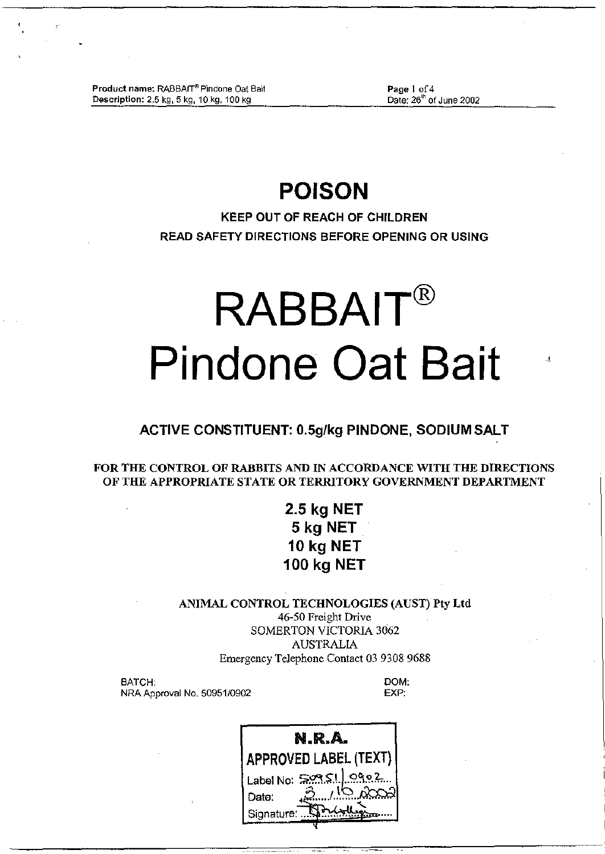Product name: RABBAIT® Pindone Oat Bait Description: 2.5 kg, 5 kg, 10 kg, 100 kg

Page 1 of 4 Date: 26<sup>th</sup> of June 2002

Ù.

# **POISON**

KEEP OUT OF REACH OF CHILDREN READ SAFETY DIRECTIONS BEFORE OPENING OR USING

# **RABBAIT® Pindone Oat Bait**

# ACTIVE CONSTITUENT: O.5g/kg PINDONE, SODIUM SALT

FOR THE CONTROL OF RABBITS AND IN ACCORDANCE WITH THE DIRECTIONS OF THE APPROPRIATE STATE OR TERRITORY GOVERNMENT DEPARTMENT

# 2.5 kg NET 5 kg NET 10 kg NET 100 kg NET

ANIMAL CONTROL TECHNOLOGIES (AUST) Pty Ltd 46-50 Freight Drive SOMERTON VICTORIA 3062 AUSTRALIA Emergency Telephone Contact03 9308 9688

BATCH: NRA Approval No. *50951/0902* DOM: EXP:

| N.R.A.                     |                         |  |  |  |  |
|----------------------------|-------------------------|--|--|--|--|
| APPROVED LABEL (TEXT)      |                         |  |  |  |  |
| Label No: $\approx 1$ ogoz |                         |  |  |  |  |
| Date:                      | $\Lambda^{10}$ $\alpha$ |  |  |  |  |
| Signature:                 |                         |  |  |  |  |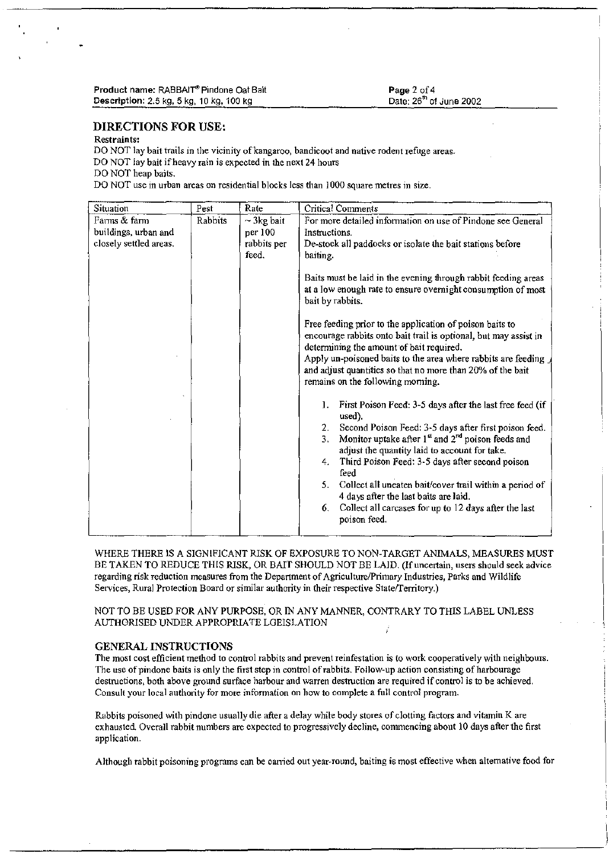# DIRECTIONS FOR USE:

# Restraints:

DO NOT lay bait trails in the vicinity of kangaroo, bandicoot and native rodent refuge areas. DO NOT lay bait ifheavy rain is expected in the next 24 hours DO NOT heap baits.

DO NOT use in urban areas on residential blocks less than 1000 square metres in size.

| Situation              | Pest    | Rate            | Critical Comments                                                                                                                                                                                                                                                                                                                                                                                                                                                                                                                                                                                                                                                                                                                                                                                                                                                                                                                                                                                                                           |  |
|------------------------|---------|-----------------|---------------------------------------------------------------------------------------------------------------------------------------------------------------------------------------------------------------------------------------------------------------------------------------------------------------------------------------------------------------------------------------------------------------------------------------------------------------------------------------------------------------------------------------------------------------------------------------------------------------------------------------------------------------------------------------------------------------------------------------------------------------------------------------------------------------------------------------------------------------------------------------------------------------------------------------------------------------------------------------------------------------------------------------------|--|
| Farms & farm           | Rabbits | $\sim$ 3kg bait | For more detailed information on use of Pindone see General                                                                                                                                                                                                                                                                                                                                                                                                                                                                                                                                                                                                                                                                                                                                                                                                                                                                                                                                                                                 |  |
| buildings, urban and   |         | per 100         | Instructions.                                                                                                                                                                                                                                                                                                                                                                                                                                                                                                                                                                                                                                                                                                                                                                                                                                                                                                                                                                                                                               |  |
| closely settled areas. |         | rabbits per     | De-stock all paddocks or isolate the bait stations before                                                                                                                                                                                                                                                                                                                                                                                                                                                                                                                                                                                                                                                                                                                                                                                                                                                                                                                                                                                   |  |
|                        |         | feed.           | baiting.                                                                                                                                                                                                                                                                                                                                                                                                                                                                                                                                                                                                                                                                                                                                                                                                                                                                                                                                                                                                                                    |  |
|                        |         |                 | Baits must be laid in the evening through rabbit feeding areas<br>at a low enough rate to ensure overnight consumption of most<br>bait by rabbits.<br>Free feeding prior to the application of poison baits to<br>encourage rabbits onto bait trail is optional, but may assist in<br>determining the amount of bait required.<br>Apply un-poisoned baits to the area where rabbits are feeding<br>and adjust quantities so that no more than 20% of the bait<br>remains on the following morning.<br>First Poison Feed: 3-5 days after the last free feed (if<br>1.<br>used).<br>Second Poison Feed: 3-5 days after first poison feed.<br>2.<br>Monitor uptake after 1 <sup>st</sup> and 2 <sup>nd</sup> poison feeds and<br>3.<br>adjust the quantity laid to account for take.<br>Third Poison Feed: 3-5 days after second poison<br>4.<br>feed<br>Collect all uneaten bait/cover trail within a period of<br>5.<br>4 days after the last baits are laid.<br>Collect all carcases for up to 12 days after the last<br>6.<br>poison feed. |  |

WHERE THERE IS A SIGNIFICANT RISK OF EXPOSURE TO NON-TARGET ANIMALS, MEASURES MUST BE TAKEN TO REDUCE THIS RISK, OR BAIT SHOULD NOT BE LAID. (If uncertain, users should seek advice regarding risk reduction measures from the Department of Agriculture/Primary Industries, Parks and Wildlife Services, Rural Protection Board or similar authority in their respective State/Territory.)

NOT TO BE USED FOR ANY PURPOSE, OR IN ANY MANNER, CONTRARY TO THIS LABEL UNLESS AUTHORISED UNDER APPROPRlATE LGEISLATION

# GENERAL INSTRUCTIONS

The most cost efficient method to control rabbits and prevent reinfestation is to work cooperatively with neighbours. The use of pmdone baits is only the first step in control ofrabbits. Follow-up action consisting of harbourage destructions, both above ground surface harbour and warren destruction are required if control is to be achieved. Consult your local authority for more information on how to complete a full control program.

Rabbits poisoned with pindone usually die after a delay while body stores of clotting factors and vitamin K are exhausted. Overall rabbit numbers are expected to progressively decline, conunencing about 10 days after the first application.

Although rabbit poisoning programs can be canied out year-round, baiting is most effective when alternative food for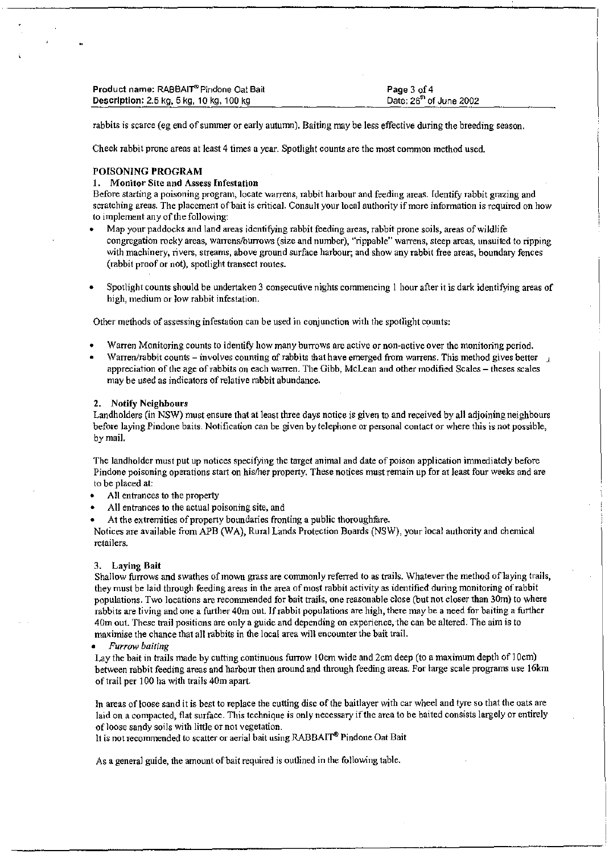| <b>Product name: RABBAIT® Pindone Oat Bait</b> | Page 3 of 4                         |
|------------------------------------------------|-------------------------------------|
| Description: 2.5 kg, 5 kg, 10 kg, 100 kg       | Date: 26 <sup>th</sup> of June 2002 |

rabbits is scarce (eg end of summer or early autumn). Baiting may be less effective during the breeding season.

Check rabbit prone areas at least 4 times a year. Spotlight counts are the most common method used.

# POISONING PROGRAM

#### 1. Monitor Site and Assess Infestation

Before starting a poisoning program, locate warrens, rabbit harbour and feeding areas. Identify rabbit grazing and scratching areas. The placement of bait is critical. Consult your local authority if more information is required on how to implement any of the following:

- Map your paddocks and land areas identifying rabbit feeding areas, rabbit prone soils, areas of wildlife congregation rocky areas, warrenslburrows (size and number), "rippable" warrens, steep areas, unsuited to ripping with machinery, rivers, streams, above ground surface harbour; and show any rabbit free areas, boundary fences (rabbit proof or not), spotlight transect routes.
- Spotlight counts should be undertaken 3 consecutive nights commencing I hour after it is dark identifying areas of high, medium or Jow rabbit infestation.

Other methods of assessing infestation can be used in conjunction with the spotlight counts:

- Warren Monitoring counts to identify how many burrows are active or non-active over the monitoring period.
- Warren/rabbit counts involves counting of rabbits that have emerged from warrens. This method gives better  $\perp$ appreciation ofthe age ofrabbits on each warren. The Gibb, McLean and other modified Scales - theses scales may be used as indicators of relative rabbit abundance.

#### 2. Notify Neighbours

Landholders (in NSW) must ensure that at least three days notice is given to and received by all adjoining neighbours before laying Pindone baits. Notification can be given by telephone or personal contact or where this is not possible, by mail.

The landholder must put up notices specifying the target animal and date of poison application inunediately before Pindone poisoning operations start on his/her property. These notices must remain up for at least four weeks and are to be placed at:

- All entrances to the property
- All entrances to the actual poisoning site, and
- At the extremities of property boundaries fronting a public thoroughfare.

Notices are available from APB (WA), Rural Lands Protection Boards (NSW), your local authority and chemical retailers.

# 3. Laying Bait

Shallow furrows and swathes of mown grass are commonly referred to as trails. Whatever the method of laying trails, they must be laid through feeding areas in the area of most rabbit activity as identified during monitoring of rabbit populations. Two locations are reconunended for bait trails, one reasonable close (but not closer than 30m) to where rabbits are living and one a further 40m out. If rabbit populations are high, there may be a need for baiting a further 40m out. These trail positions are only a guide and depending on experience, the can be altered: The aim is to maximise the chance that all rabbits in the local area will encounter the bait trail.

#### *• Furrow baiting*

Lay the bait in trails made by cutting continuous furrow 10cm wide and 2cm deep (to a maximum depth of 10cm) between rabbit feeding areas and harbour then around and through feeding areas. For large scale programs use 16km of trail per 100 ha with trails 40m apart.

In areas of loose sand it is best to replace the cutting disc of the baitlayer with car wheel and tyre so that the oats are laid on a compacted, flat surface. This technique is only necessary if the area to be baited consists largely or entirely of loose sandy soils with little or not vegetation.

It is not recommended to scatter or aerial bait using RABBAIT<sup>®</sup> Pindone Oat Bait

As a general guide, the amount of bait required is outlined in the following table.